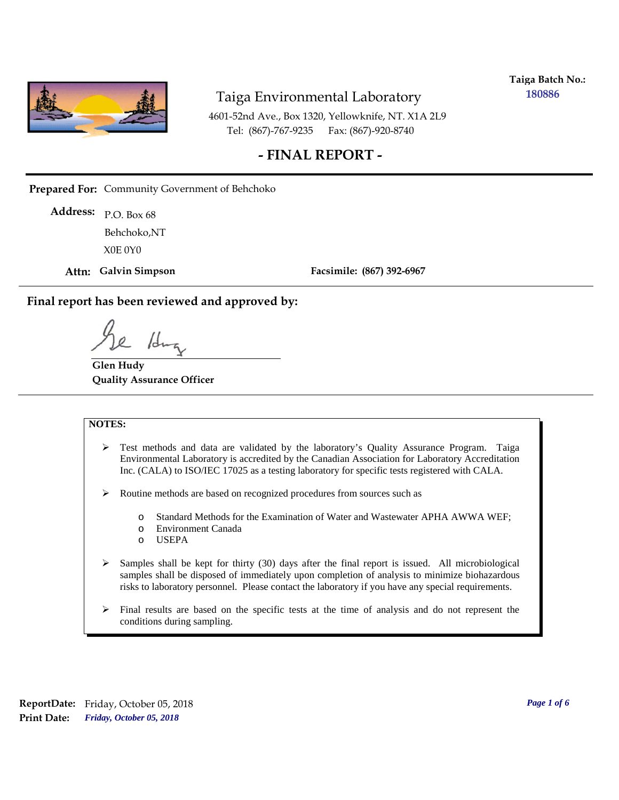

**Taiga Batch No.: 180886**

4601-52nd Ave., Box 1320, Yellowknife, NT. X1A 2L9 Tel: (867)-767-9235 Fax: (867)-920-8740

#### **- FINAL REPORT -**

**Prepared For:** Community Government of Behchoko

P.O. Box 68 **Address:** X0E 0Y0 Behchoko,NT

**Attn: Galvin Simpson**

**Facsimile: (867) 392-6967**

**Final report has been reviewed and approved by:**

1da

**Glen Hudy Quality Assurance Officer**

#### **NOTES:**

- $\triangleright$  Test methods and data are validated by the laboratory's Quality Assurance Program. Taiga Environmental Laboratory is accredited by the Canadian Association for Laboratory Accreditation Inc. (CALA) to ISO/IEC 17025 as a testing laboratory for specific tests registered with CALA.
- Routine methods are based on recognized procedures from sources such as
	- o Standard Methods for the Examination of Water and Wastewater APHA AWWA WEF;
	- o Environment Canada
	- o USEPA
- $\triangleright$  Samples shall be kept for thirty (30) days after the final report is issued. All microbiological samples shall be disposed of immediately upon completion of analysis to minimize biohazardous risks to laboratory personnel. Please contact the laboratory if you have any special requirements.
- $\triangleright$  Final results are based on the specific tests at the time of analysis and do not represent the conditions during sampling.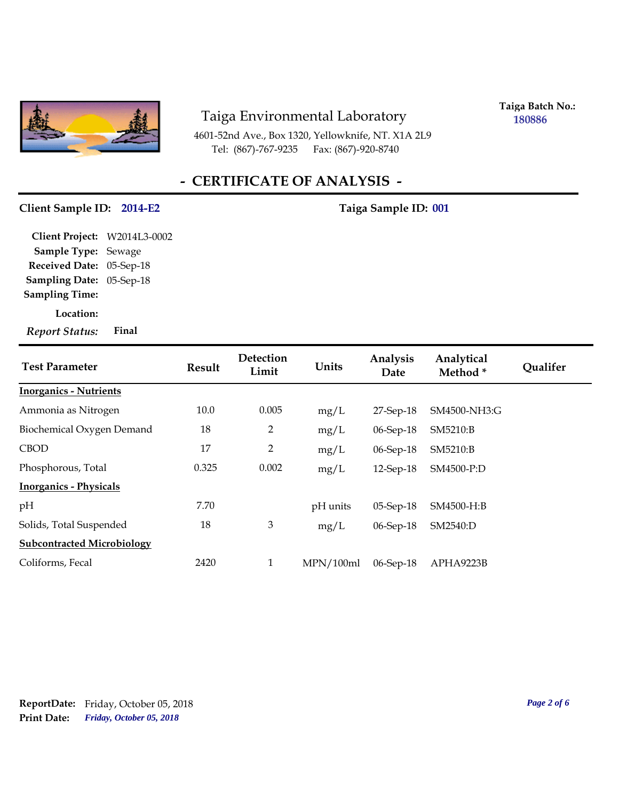

4601-52nd Ave., Box 1320, Yellowknife, NT. X1A 2L9 Tel: (867)-767-9235 Fax: (867)-920-8740

**Taiga Batch No.: 180886**

# **- CERTIFICATE OF ANALYSIS -**

#### Client Sample ID: 2014-E2 Taiga Sample ID: 001

**Location: Sampling Date:** 05-Sep-18 **Received Date:** 05-Sep-18 **Client Project:** W2014L3-0002 **Sample Type:** Sewage **Sampling Time:** *Report Status:* **Final**

| <b>Test Parameter</b>             | Result | Detection<br>Limit | Units     | Analysis<br>Date | Analytical<br>Method* | <b>Oualifer</b> |
|-----------------------------------|--------|--------------------|-----------|------------------|-----------------------|-----------------|
| <b>Inorganics - Nutrients</b>     |        |                    |           |                  |                       |                 |
| Ammonia as Nitrogen               | 10.0   | 0.005              | mg/L      | $27$ -Sep- $18$  | SM4500-NH3:G          |                 |
| Biochemical Oxygen Demand         | 18     | 2                  | mg/L      | 06-Sep-18        | SM5210:B              |                 |
| <b>CBOD</b>                       | 17     | 2                  | mg/L      | $06-Sep-18$      | SM5210:B              |                 |
| Phosphorous, Total                | 0.325  | 0.002              | mg/L      | 12-Sep-18        | SM4500-P:D            |                 |
| <b>Inorganics - Physicals</b>     |        |                    |           |                  |                       |                 |
| pH                                | 7.70   |                    | pH units  | $05-Sep-18$      | SM4500-H:B            |                 |
| Solids, Total Suspended           | 18     | $\mathfrak{Z}$     | mg/L      | 06-Sep-18        | SM2540:D              |                 |
| <b>Subcontracted Microbiology</b> |        |                    |           |                  |                       |                 |
| Coliforms, Fecal                  | 2420   | $\mathbf{1}$       | MPN/100ml | 06-Sep-18        | APHA9223B             |                 |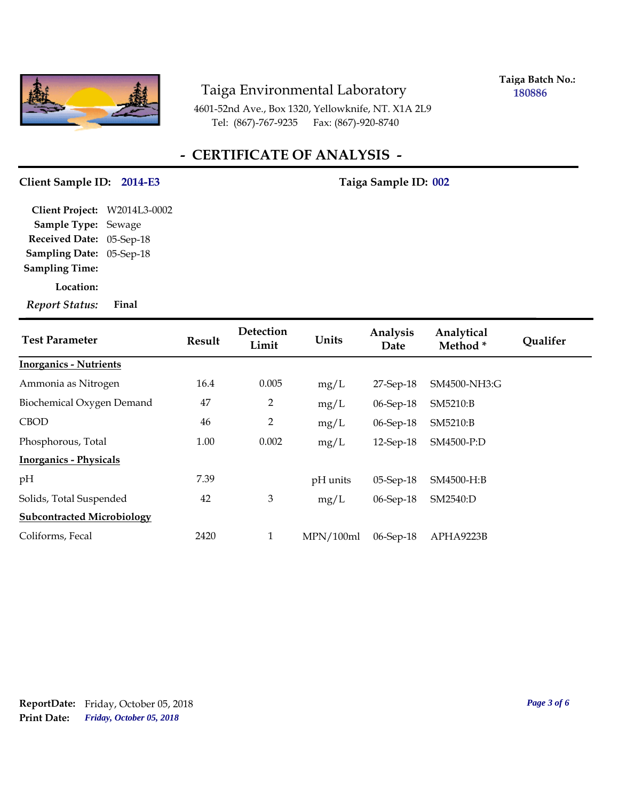

**Taiga Batch No.: 180886**

4601-52nd Ave., Box 1320, Yellowknife, NT. X1A 2L9 Tel: (867)-767-9235 Fax: (867)-920-8740

## **- CERTIFICATE OF ANALYSIS -**

#### Client Sample ID: 2014-E3 Taiga Sample ID: 002

**Sampling Date:** 05-Sep-18 **Received Date:** 05-Sep-18 **Client Project:** W2014L3-0002 **Sample Type:** Sewage **Sampling Time:**

**Location:**

*Report Status:* **Final**

| <b>Test Parameter</b>             | <b>Result</b> | Detection<br>Limit | Units     | Analysis<br>Date | Analytical<br>Method <sup>*</sup> | <b>Qualifer</b> |
|-----------------------------------|---------------|--------------------|-----------|------------------|-----------------------------------|-----------------|
| <b>Inorganics - Nutrients</b>     |               |                    |           |                  |                                   |                 |
| Ammonia as Nitrogen               | 16.4          | 0.005              | mg/L      | 27-Sep-18        | SM4500-NH3:G                      |                 |
| Biochemical Oxygen Demand         | 47            | 2                  | mg/L      | 06-Sep-18        | SM5210:B                          |                 |
| <b>CBOD</b>                       | 46            | 2                  | mg/L      | 06-Sep-18        | SM5210:B                          |                 |
| Phosphorous, Total                | 1.00          | 0.002              | mg/L      | 12-Sep-18        | SM4500-P:D                        |                 |
| <b>Inorganics - Physicals</b>     |               |                    |           |                  |                                   |                 |
| pH                                | 7.39          |                    | pH units  | $05-Sep-18$      | SM4500-H:B                        |                 |
| Solids, Total Suspended           | 42            | $\mathfrak{Z}$     | mg/L      | 06-Sep-18        | SM2540:D                          |                 |
| <b>Subcontracted Microbiology</b> |               |                    |           |                  |                                   |                 |
| Coliforms, Fecal                  | 2420          | 1                  | MPN/100ml | 06-Sep-18        | APHA9223B                         |                 |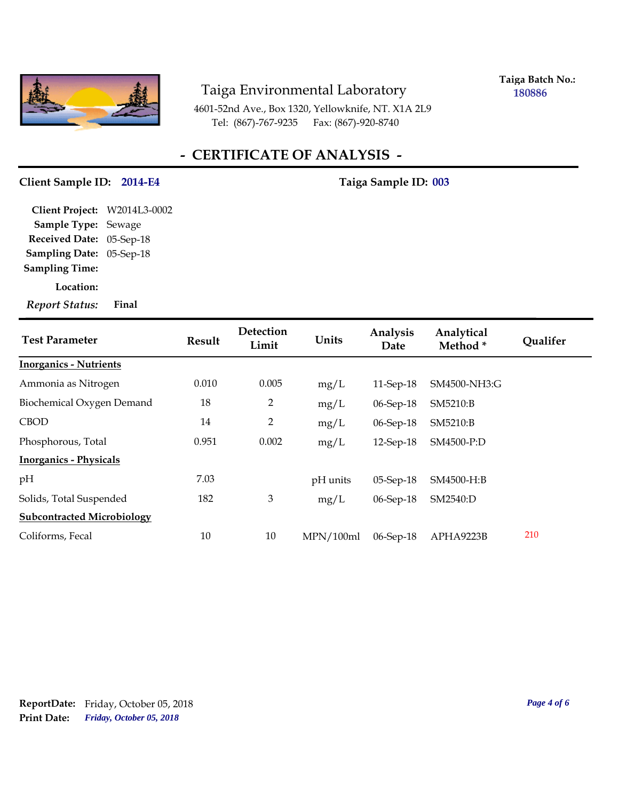

**Taiga Batch No.: 180886**

4601-52nd Ave., Box 1320, Yellowknife, NT. X1A 2L9 Tel: (867)-767-9235 Fax: (867)-920-8740

## **- CERTIFICATE OF ANALYSIS -**

#### Client Sample ID: 2014-E4 Taiga Sample ID: 003

**Sampling Date:** 05-Sep-18 **Received Date:** 05-Sep-18 **Client Project:** W2014L3-0002 **Sample Type:** Sewage **Sampling Time:**

**Location:**

*Report Status:* **Final**

| <b>Test Parameter</b>             | <b>Result</b> | Detection<br>Limit | Units     | Analysis<br>Date | Analytical<br>Method* | <b>Qualifer</b> |
|-----------------------------------|---------------|--------------------|-----------|------------------|-----------------------|-----------------|
| <b>Inorganics - Nutrients</b>     |               |                    |           |                  |                       |                 |
| Ammonia as Nitrogen               | 0.010         | 0.005              | mg/L      | 11-Sep-18        | SM4500-NH3:G          |                 |
| Biochemical Oxygen Demand         | 18            | 2                  | mg/L      | $06-Sep-18$      | SM5210:B              |                 |
| <b>CBOD</b>                       | 14            | 2                  | mg/L      | 06-Sep-18        | SM5210:B              |                 |
| Phosphorous, Total                | 0.951         | 0.002              | mg/L      | 12-Sep-18        | SM4500-P:D            |                 |
| <b>Inorganics - Physicals</b>     |               |                    |           |                  |                       |                 |
| pH                                | 7.03          |                    | pH units  | 05-Sep-18        | SM4500-H:B            |                 |
| Solids, Total Suspended           | 182           | $\mathfrak{Z}$     | mg/L      | 06-Sep-18        | SM2540:D              |                 |
| <b>Subcontracted Microbiology</b> |               |                    |           |                  |                       |                 |
| Coliforms, Fecal                  | 10            | 10                 | MPN/100ml | 06-Sep-18        | APHA9223B             | 210             |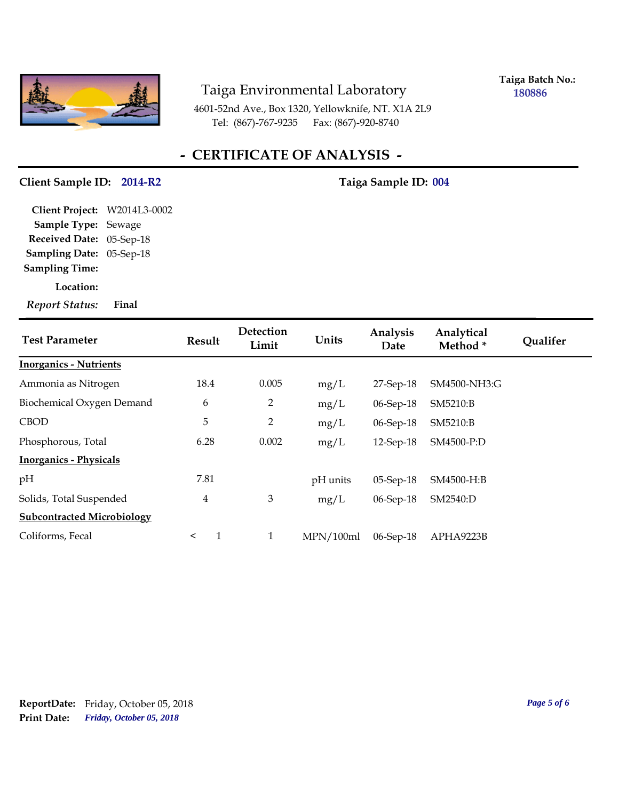

**Taiga Batch No.: 180886**

4601-52nd Ave., Box 1320, Yellowknife, NT. X1A 2L9 Tel: (867)-767-9235 Fax: (867)-920-8740

## **- CERTIFICATE OF ANALYSIS -**

#### Client Sample ID: 2014-R2 Taiga Sample ID: 004

**Sampling Date:** 05-Sep-18 **Received Date:** 05-Sep-18 **Client Project:** W2014L3-0002 **Sample Type:** Sewage **Sampling Time:**

**Location:**

*Report Status:* **Final**

| <b>Test Parameter</b>             | Result                  | Detection<br>Limit | Units     | Analysis<br>Date | Analytical<br>Method * | <b>Qualifer</b> |
|-----------------------------------|-------------------------|--------------------|-----------|------------------|------------------------|-----------------|
| <b>Inorganics - Nutrients</b>     |                         |                    |           |                  |                        |                 |
| Ammonia as Nitrogen               | 18.4                    | 0.005              | mg/L      | 27-Sep-18        | SM4500-NH3:G           |                 |
| Biochemical Oxygen Demand         | 6                       | $\overline{2}$     | mg/L      | 06-Sep-18        | SM5210:B               |                 |
| <b>CBOD</b>                       | 5                       | $\overline{2}$     | mg/L      | 06-Sep-18        | SM5210:B               |                 |
| Phosphorous, Total                | 6.28                    | 0.002              | mg/L      | 12-Sep-18        | SM4500-P:D             |                 |
| <b>Inorganics - Physicals</b>     |                         |                    |           |                  |                        |                 |
| pH                                | 7.81                    |                    | pH units  | $05-Sep-18$      | SM4500-H:B             |                 |
| Solids, Total Suspended           | $\overline{4}$          | 3                  | mg/L      | 06-Sep-18        | SM2540:D               |                 |
| <b>Subcontracted Microbiology</b> |                         |                    |           |                  |                        |                 |
| Coliforms, Fecal                  | $\mathbf{1}$<br>$\prec$ | $\mathbf{1}$       | MPN/100ml | 06-Sep-18        | APHA9223B              |                 |